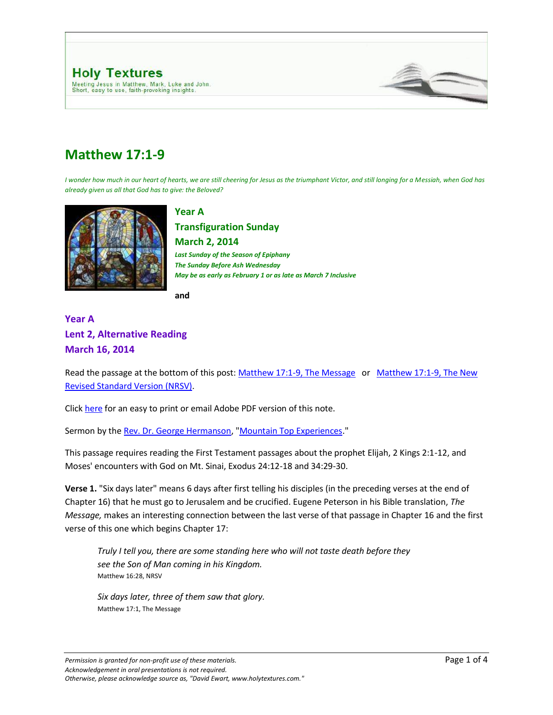



# **Matthew 17:1-9**

*I wonder how much in our heart of hearts, we are still cheering for Jesus as the triumphant Victor, and still longing for a Messiah, when God has already given us all that God has to give: the Beloved?*



## **Year A Transfiguration Sunday**

**March 2, 2014** *Last Sunday of the Season of Epiphany The Sunday Before Ash Wednesday May be as early as February 1 or as late as March 7 Inclusive*

**and**

### **Year A Lent 2, Alternative Reading March 16, 2014**

Read the passage at the bottom of this post[: Matthew 17:1-9, The Message](http://www.holytextures.com/2011/02/matthew-17-1-9-year-a-epiphany-last-transfiguration-sunday-sermon.html#MSG) or Matthew 17:1-9, The New [Revised Standard Version \(NRSV\).](http://www.holytextures.com/2011/02/matthew-17-1-9-year-a-epiphany-last-transfiguration-sunday-sermon.html#NRSV)

Click [here](http://www.holytextures.com/Matthew-17-01-09.pdf) for an easy to print or email Adobe PDF version of this note.

Sermon by the [Rev. Dr. George Hermanson,](http://www.georgehermanson.com/) ["Mountain Top Experiences.](http://www.georgehermanson.com/2008/02/mountain-top-ex.html)"

This passage requires reading the First Testament passages about the prophet Elijah, 2 Kings 2:1-12, and Moses' encounters with God on Mt. Sinai, Exodus 24:12-18 and 34:29-30.

**Verse 1.** "Six days later" means 6 days after first telling his disciples (in the preceding verses at the end of Chapter 16) that he must go to Jerusalem and be crucified. Eugene Peterson in his Bible translation, *The Message,* makes an interesting connection between the last verse of that passage in Chapter 16 and the first verse of this one which begins Chapter 17:

*Truly I tell you, there are some standing here who will not taste death before they see the Son of Man coming in his Kingdom.* Matthew 16:28, NRSV

*Six days later, three of them saw that glory.* Matthew 17:1, The Message

*Otherwise, please acknowledge source as, "David Ewart, www.holytextures.com."*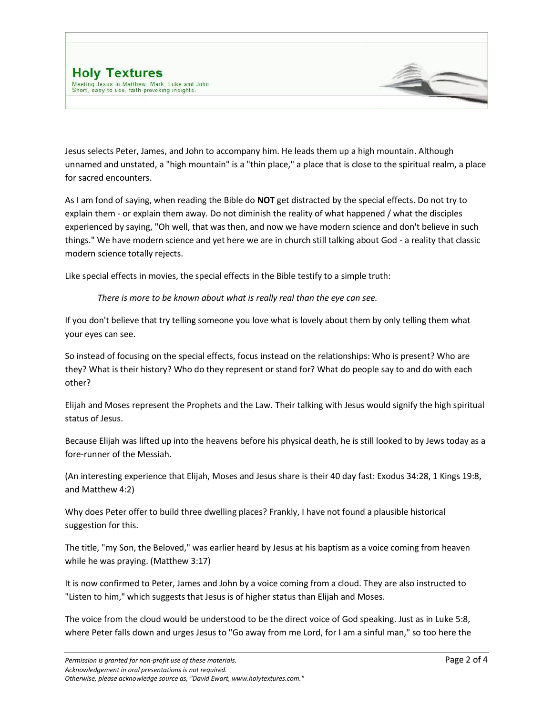

Jesus selects Peter, James, and John to accompany him. He leads them up a high mountain. Although unnamed and unstated, a "high mountain" is a "thin place," a place that is close to the spiritual realm, a place for sacred encounters.

As I am fond of saying, when reading the Bible do **NOT** get distracted by the special effects. Do not try to explain them - or explain them away. Do not diminish the reality of what happened / what the disciples experienced by saying, "Oh well, that was then, and now we have modern science and don't believe in such things." We have modern science and yet here we are in church still talking about God - a reality that classic modern science totally rejects.

Like special effects in movies, the special effects in the Bible testify to a simple truth:

*There is more to be known about what is really real than the eye can see.*

If you don't believe that try telling someone you love what is lovely about them by only telling them what your eyes can see.

So instead of focusing on the special effects, focus instead on the relationships: Who is present? Who are they? What is their history? Who do they represent or stand for? What do people say to and do with each other?

Elijah and Moses represent the Prophets and the Law. Their talking with Jesus would signify the high spiritual status of Jesus.

Because Elijah was lifted up into the heavens before his physical death, he is still looked to by Jews today as a fore-runner of the Messiah.

(An interesting experience that Elijah, Moses and Jesus share is their 40 day fast: Exodus 34:28, 1 Kings 19:8, and Matthew 4:2)

Why does Peter offer to build three dwelling places? Frankly, I have not found a plausible historical suggestion for this.

The title, "my Son, the Beloved," was earlier heard by Jesus at his baptism as a voice coming from heaven while he was praying. (Matthew 3:17)

It is now confirmed to Peter, James and John by a voice coming from a cloud. They are also instructed to "Listen to him," which suggests that Jesus is of higher status than Elijah and Moses.

The voice from the cloud would be understood to be the direct voice of God speaking. Just as in Luke 5:8, where Peter falls down and urges Jesus to "Go away from me Lord, for I am a sinful man," so too here the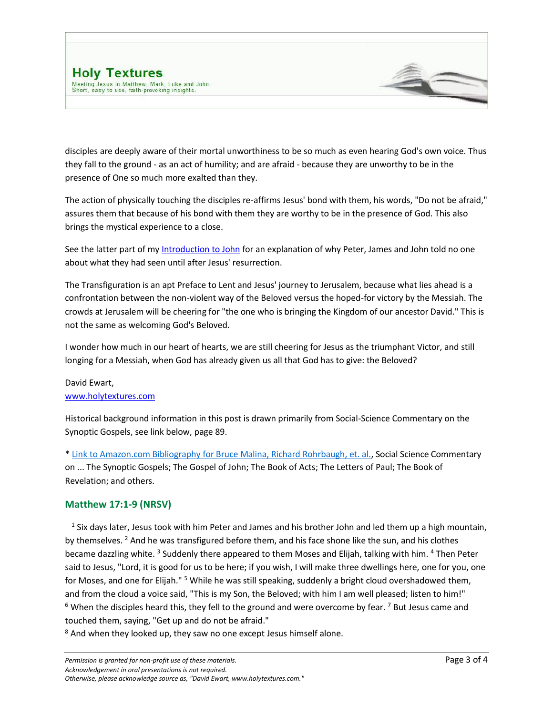

disciples are deeply aware of their mortal unworthiness to be so much as even hearing God's own voice. Thus they fall to the ground - as an act of humility; and are afraid - because they are unworthy to be in the presence of One so much more exalted than they.

The action of physically touching the disciples re-affirms Jesus' bond with them, his words, "Do not be afraid," assures them that because of his bond with them they are worthy to be in the presence of God. This also brings the mystical experience to a close.

See the latter part of m[y Introduction to John](http://www.holytextures.com/introduction-to-john.html) for an explanation of why Peter, James and John told no one about what they had seen until after Jesus' resurrection.

The Transfiguration is an apt Preface to Lent and Jesus' journey to Jerusalem, because what lies ahead is a confrontation between the non-violent way of the Beloved versus the hoped-for victory by the Messiah. The crowds at Jerusalem will be cheering for "the one who is bringing the Kingdom of our ancestor David." This is not the same as welcoming God's Beloved.

I wonder how much in our heart of hearts, we are still cheering for Jesus as the triumphant Victor, and still longing for a Messiah, when God has already given us all that God has to give: the Beloved?

#### David Ewart, [www.holytextures.com](http://www.holytextures.com/)

Historical background information in this post is drawn primarily from Social-Science Commentary on the Synoptic Gospels, see link below, page 89.

[\\* Link to Amazon.com Bibliography for Bruce Malina, Richard Rohrbaugh, et. al.,](http://www.amazon.com/Bruce-J.-Malina/e/B000APRY4A/ref=ntt_athr_dp_pel_1) Social Science Commentary on ... The Synoptic Gospels; The Gospel of John; The Book of Acts; The Letters of Paul; The Book of Revelation; and others.

### **Matthew 17:1-9 (NRSV)**

 $1$  Six days later, Jesus took with him Peter and James and his brother John and led them up a high mountain, by themselves. <sup>2</sup> And he was transfigured before them, and his face shone like the sun, and his clothes became dazzling white. <sup>3</sup> Suddenly there appeared to them Moses and Elijah, talking with him. <sup>4</sup> Then Peter said to Jesus, "Lord, it is good for us to be here; if you wish, I will make three dwellings here, one for you, one for Moses, and one for Elijah." <sup>5</sup> While he was still speaking, suddenly a bright cloud overshadowed them, and from the cloud a voice said, "This is my Son, the Beloved; with him I am well pleased; listen to him!"  $6$  When the disciples heard this, they fell to the ground and were overcome by fear.  $7$  But Jesus came and touched them, saying, "Get up and do not be afraid."

<sup>8</sup> And when they looked up, they saw no one except Jesus himself alone.